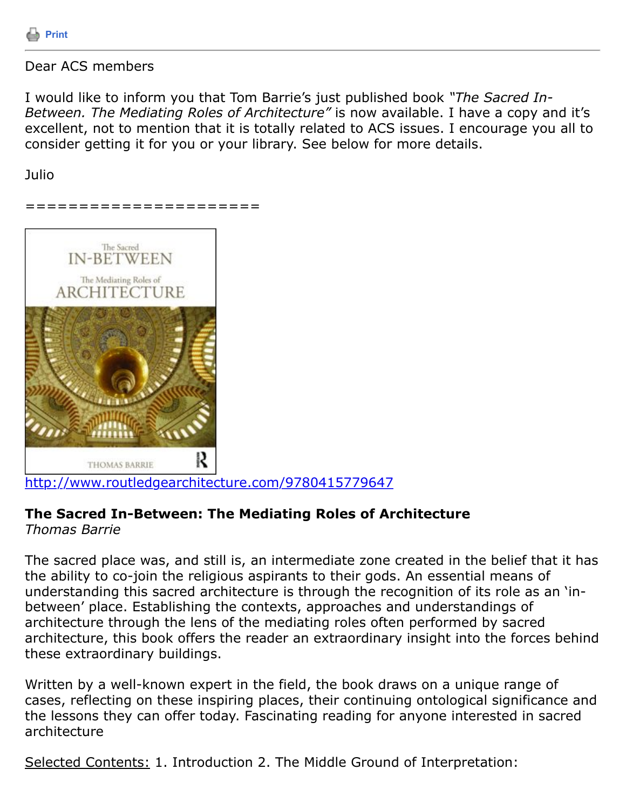

## Dear ACS members

I would like to inform you that Tom Barrie's just published book *"The Sacred In-Between. The Mediating Roles of Architecture"* is now available. I have a copy and it's excellent, not to mention that it is totally related to ACS issues. I encourage you all to consider getting it for you or your library. See below for more details.

Julio

======================



<http://www.routledgearchitecture.com/9780415779647>

## **The Sacred In-Between: The Mediating Roles of Architecture**

*Thomas Barrie*

The sacred place was, and still is, an intermediate zone created in the belief that it has the ability to co-join the religious aspirants to their gods. An essential means of understanding this sacred architecture is through the recognition of its role as an 'inbetween' place. Establishing the contexts, approaches and understandings of architecture through the lens of the mediating roles often performed by sacred architecture, this book offers the reader an extraordinary insight into the forces behind these extraordinary buildings.

Written by a well-known expert in the field, the book draws on a unique range of cases, reflecting on these inspiring places, their continuing ontological significance and the lessons they can offer today. Fascinating reading for anyone interested in sacred architecture

Selected Contents: 1. Introduction 2. The Middle Ground of Interpretation: